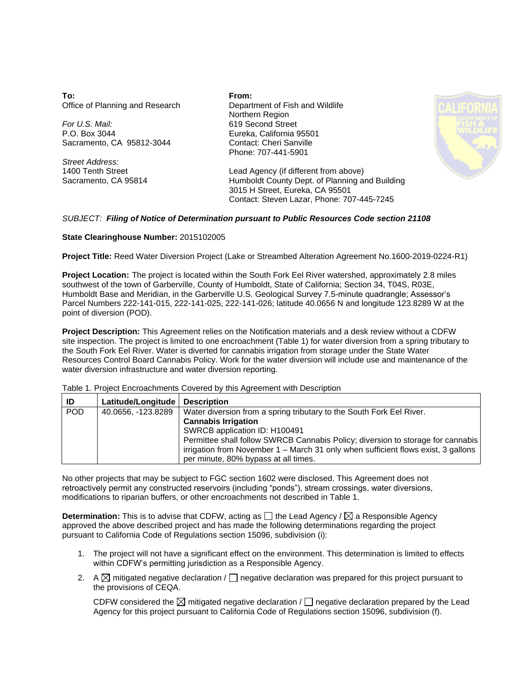**To:** Office of Planning and Research

*For U.S. Mail:* P.O. Box 3044 Sacramento, CA 95812-3044

*Street Address:* 1400 Tenth Street Sacramento, CA 95814 **From:** Department of Fish and Wildlife Northern Region 619 Second Street Eureka, California 95501 Contact: Cheri Sanville Phone: 707-441-5901



Lead Agency (if different from above) Humboldt County Dept. of Planning and Building 3015 H Street, Eureka, CA 95501 Contact: Steven Lazar, Phone: 707-445-7245

## *SUBJECT: Filing of Notice of Determination pursuant to Public Resources Code section 21108*

## **State Clearinghouse Number:** 2015102005

**Project Title:** Reed Water Diversion Project (Lake or Streambed Alteration Agreement No.1600-2019-0224-R1)

**Project Location:** The project is located within the South Fork Eel River watershed, approximately 2.8 miles southwest of the town of Garberville, County of Humboldt, State of California; Section 34, T04S, R03E, Humboldt Base and Meridian, in the Garberville U.S. Geological Survey 7.5-minute quadrangle; Assessor's Parcel Numbers 222-141-015, 222-141-025, 222-141-026; latitude 40.0656 N and longitude 123.8289 W at the point of diversion (POD).

**Project Description:** This Agreement relies on the Notification materials and a desk review without a CDFW site inspection. The project is limited to one encroachment (Table 1) for water diversion from a spring tributary to the South Fork Eel River. Water is diverted for cannabis irrigation from storage under the State Water Resources Control Board Cannabis Policy. Work for the water diversion will include use and maintenance of the water diversion infrastructure and water diversion reporting.

## Table 1. Project Encroachments Covered by this Agreement with Description

| ID  | Latitude/Longitude   Description |                                                                                   |
|-----|----------------------------------|-----------------------------------------------------------------------------------|
| POD | 40.0656, -123.8289               | Water diversion from a spring tributary to the South Fork Eel River.              |
|     |                                  | <b>Cannabis Irrigation</b>                                                        |
|     |                                  | SWRCB application ID: H100491                                                     |
|     |                                  | Permittee shall follow SWRCB Cannabis Policy; diversion to storage for cannabis   |
|     |                                  | irrigation from November 1 - March 31 only when sufficient flows exist, 3 gallons |
|     |                                  | per minute, 80% bypass at all times.                                              |

No other projects that may be subject to FGC section 1602 were disclosed. This Agreement does not retroactively permit any constructed reservoirs (including "ponds"), stream crossings, water diversions, modifications to riparian buffers, or other encroachments not described in Table 1.

**Determination:** This is to advise that CDFW, acting as  $\Box$  the Lead Agency /  $\boxtimes$  a Responsible Agency approved the above described project and has made the following determinations regarding the project pursuant to California Code of Regulations section 15096, subdivision (i):

- 1. The project will not have a significant effect on the environment. This determination is limited to effects within CDFW's permitting jurisdiction as a Responsible Agency.
- 2. A  $\boxtimes$  mitigated negative declaration /  $\Box$  negative declaration was prepared for this project pursuant to the provisions of CEQA.

CDFW considered the  $\boxtimes$  mitigated negative declaration /  $\Box$  negative declaration prepared by the Lead Agency for this project pursuant to California Code of Regulations section 15096, subdivision (f).